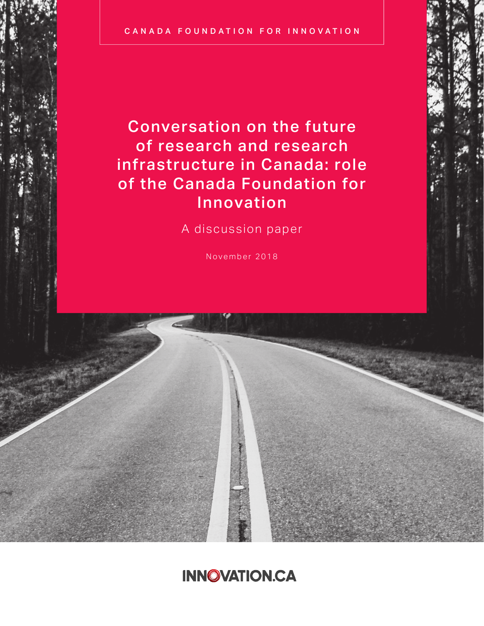Conversation on the future of research and research infrastructure in Canada: role of the Canada Foundation for Innovation

A discussion paper

November 2018

# **INNOVATION.CA**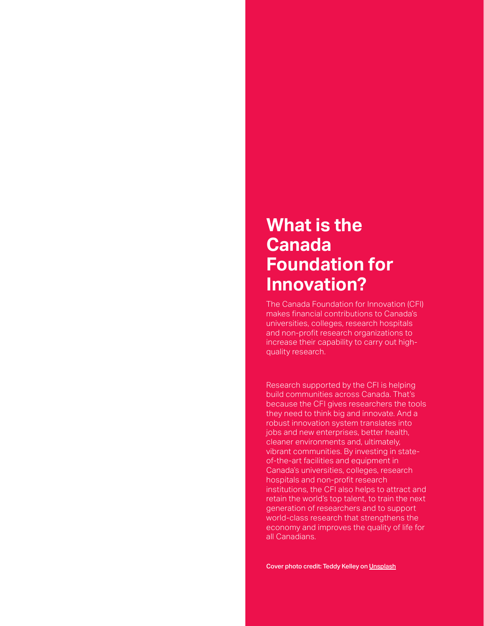# **What is the Canada Foundation for Innovation?**

The Canada Foundation for Innovation (CFI) makes financial contributions to Canada's universities, colleges, research hospitals and non-profit research organizations to increase their capability to carry out highquality research.

Research supported by the CFI is helping build communities across Canada. That's because the CFI gives researchers the tools they need to think big and innovate. And a robust innovation system translates into jobs and new enterprises, better health, cleaner environments and, ultimately, vibrant communities. By investing in stateof-the-art facilities and equipment in Canada's universities, colleges, research hospitals and non-profit research institutions, the CFI also helps to attract and retain the world's top talent, to train the next generation of researchers and to support world-class research that strengthens the economy and improves the quality of life for all Canadians.

Cover photo credit: Teddy Kelley on [Unsplash](https://unsplash.com/)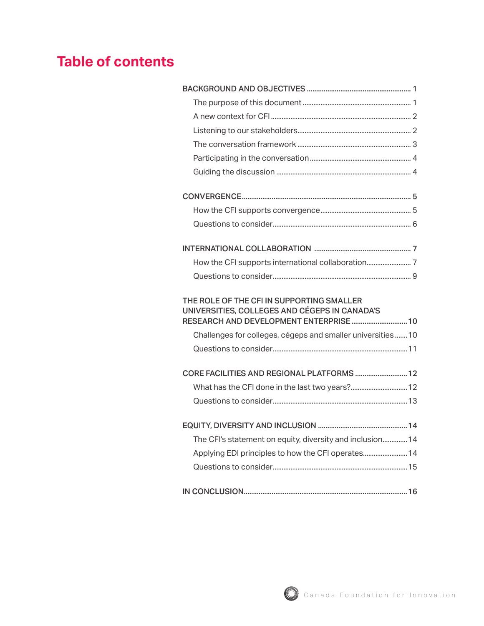# **Table of contents**

| THE ROLE OF THE CFI IN SUPPORTING SMALLER<br>UNIVERSITIES, COLLEGES AND CÉGEPS IN CANADA'S<br>RESEARCH AND DEVELOPMENT ENTERPRISE 10 |
|--------------------------------------------------------------------------------------------------------------------------------------|
| Challenges for colleges, cégeps and smaller universities10                                                                           |
|                                                                                                                                      |
| CORE FACILITIES AND REGIONAL PLATFORMS  12                                                                                           |
|                                                                                                                                      |
|                                                                                                                                      |
|                                                                                                                                      |
| The CFI's statement on equity, diversity and inclusion 14                                                                            |
|                                                                                                                                      |
|                                                                                                                                      |
|                                                                                                                                      |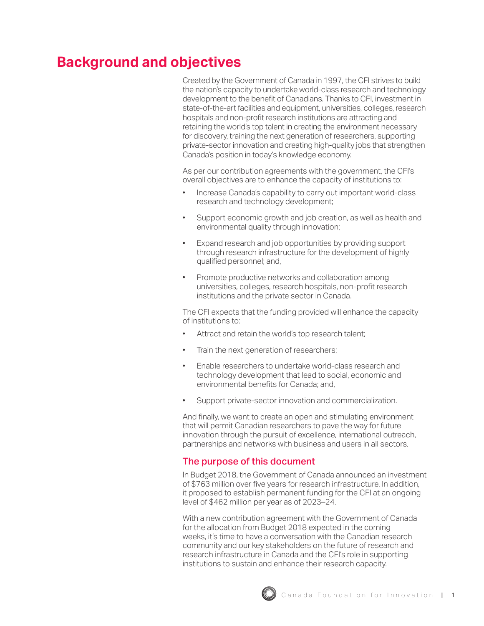## <span id="page-3-0"></span>**Background and objectives**

Created by the Government of Canada in 1997, the CFI strives to build the nation's capacity to undertake world-class research and technology development to the benefit of Canadians. Thanks to CFI, investment in state-of-the-art facilities and equipment, universities, colleges, research hospitals and non-profit research institutions are attracting and retaining the world's top talent in creating the environment necessary for discovery, training the next generation of researchers, supporting private-sector innovation and creating high-quality jobs that strengthen Canada's position in today's knowledge economy.

As per our contribution agreements with the government, the CFI's overall objectives are to enhance the capacity of institutions to:

- Increase Canada's capability to carry out important world-class research and technology development;
- Support economic growth and job creation, as well as health and environmental quality through innovation;
- Expand research and job opportunities by providing support through research infrastructure for the development of highly qualified personnel; and,
- Promote productive networks and collaboration among universities, colleges, research hospitals, non-profit research institutions and the private sector in Canada.

The CFI expects that the funding provided will enhance the capacity of institutions to:

- Attract and retain the world's top research talent;
- Train the next generation of researchers;
- Enable researchers to undertake world-class research and technology development that lead to social, economic and environmental benefits for Canada; and,
- Support private-sector innovation and commercialization.

And finally, we want to create an open and stimulating environment that will permit Canadian researchers to pave the way for future innovation through the pursuit of excellence, international outreach, partnerships and networks with business and users in all sectors.

## The purpose of this document

In Budget 2018, the Government of Canada announced an investment of \$763 million over five years for research infrastructure. In addition, it proposed to establish permanent funding for the CFI at an ongoing level of \$462 million per year as of 2023–24.

With a new contribution agreement with the Government of Canada for the allocation from Budget 2018 expected in the coming weeks, it's time to have a conversation with the Canadian research community and our key stakeholders on the future of research and research infrastructure in Canada and the CFI's role in supporting institutions to sustain and enhance their research capacity.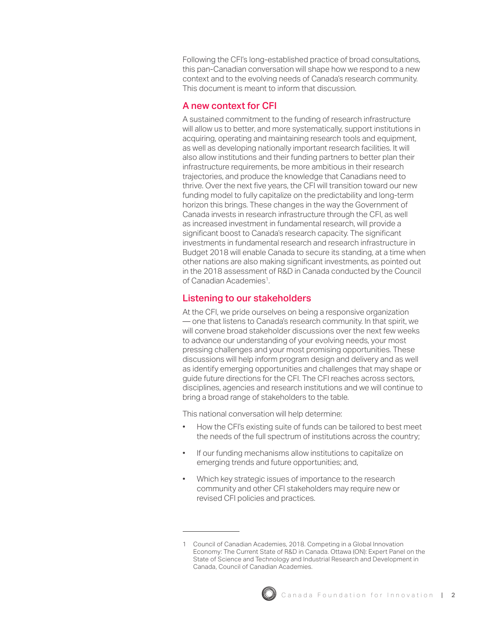<span id="page-4-0"></span>Following the CFI's long-established practice of broad consultations, this pan-Canadian conversation will shape how we respond to a new context and to the evolving needs of Canada's research community. This document is meant to inform that discussion.

## A new context for CFI

A sustained commitment to the funding of research infrastructure will allow us to better, and more systematically, support institutions in acquiring, operating and maintaining research tools and equipment, as well as developing nationally important research facilities. It will also allow institutions and their funding partners to better plan their infrastructure requirements, be more ambitious in their research trajectories, and produce the knowledge that Canadians need to thrive. Over the next five years, the CFI will transition toward our new funding model to fully capitalize on the predictability and long-term horizon this brings. These changes in the way the Government of Canada invests in research infrastructure through the CFI, as well as increased investment in fundamental research, will provide a significant boost to Canada's research capacity. The significant investments in fundamental research and research infrastructure in Budget 2018 will enable Canada to secure its standing, at a time when other nations are also making significant investments, as pointed out in the 2018 assessment of R&D in Canada conducted by the Council of Canadian Academies1.

## Listening to our stakeholders

At the CFI, we pride ourselves on being a responsive organization — one that listens to Canada's research community. In that spirit, we will convene broad stakeholder discussions over the next few weeks to advance our understanding of your evolving needs, your most pressing challenges and your most promising opportunities. These discussions will help inform program design and delivery and as well as identify emerging opportunities and challenges that may shape or guide future directions for the CFI. The CFI reaches across sectors, disciplines, agencies and research institutions and we will continue to bring a broad range of stakeholders to the table.

This national conversation will help determine:

- How the CFI's existing suite of funds can be tailored to best meet the needs of the full spectrum of institutions across the country;
- If our funding mechanisms allow institutions to capitalize on emerging trends and future opportunities; and,
- Which key strategic issues of importance to the research community and other CFI stakeholders may require new or revised CFI policies and practices.

<sup>1</sup> Council of Canadian Academies, 2018. Competing in a Global Innovation Economy: The Current State of R&D in Canada. Ottawa (ON): Expert Panel on the State of Science and Technology and Industrial Research and Development in Canada, Council of Canadian Academies.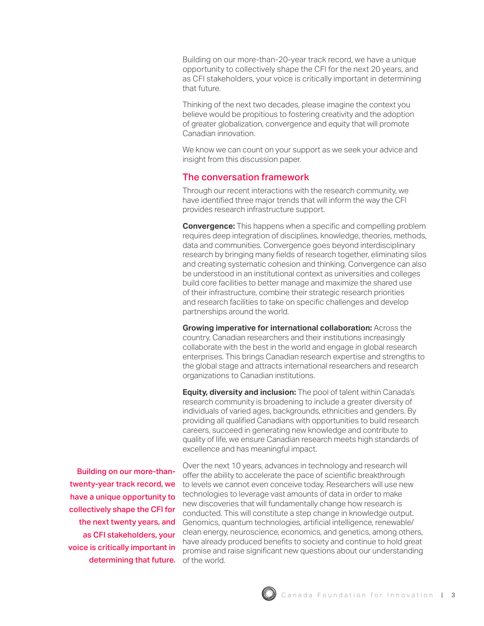<span id="page-5-0"></span>Building on our more-than-20-year track record, we have a unique opportunity to collectively shape the CFI for the next 20 years, and as CFI stakeholders, your voice is critically important in determining that future.

Thinking of the next two decades, please imagine the context you believe would be propitious to fostering creativity and the adoption of greater globalization, convergence and equity that will promote Canadian innovation.

We know we can count on your support as we seek your advice and insight from this discussion paper.

### The conversation framework

Through our recent interactions with the research community, we have identified three major trends that will inform the way the CFI provides research infrastructure support.

**Convergence:** This happens when a specific and compelling problem requires deep integration of disciplines, knowledge, theories, methods, data and communities. Convergence goes beyond interdisciplinary research by bringing many fields of research together, eliminating silos and creating systematic cohesion and thinking. Convergence can also be understood in an institutional context as universities and colleges build core facilities to better manage and maximize the shared use of their infrastructure, combine their strategic research priorities and research facilities to take on specific challenges and develop partnerships around the world.

**Growing imperative for international collaboration:** Across the country, Canadian researchers and their institutions increasingly collaborate with the best in the world and engage in global research enterprises. This brings Canadian research expertise and strengths to the global stage and attracts international researchers and research organizations to Canadian institutions.

**Equity, diversity and inclusion:** The pool of talent within Canada's research community is broadening to include a greater diversity of individuals of varied ages, backgrounds, ethnicities and genders. By providing all qualified Canadians with opportunities to build research careers, succeed in generating new knowledge and contribute to quality of life, we ensure Canadian research meets high standards of excellence and has meaningful impact.

determining that future. of the world. Building on our more-thantwenty-year track record, we have a unique opportunity to collectively shape the CFI for the next twenty years, and as CFI stakeholders, your voice is critically important in

Over the next 10 years, advances in technology and research will offer the ability to accelerate the pace of scientific breakthrough to levels we cannot even conceive today. Researchers will use new technologies to leverage vast amounts of data in order to make new discoveries that will fundamentally change how research is conducted. This will constitute a step change in knowledge output. Genomics, quantum technologies, artificial intelligence, renewable/ clean energy, neuroscience, economics, and genetics, among others, have already produced benefits to society and continue to hold great promise and raise significant new questions about our understanding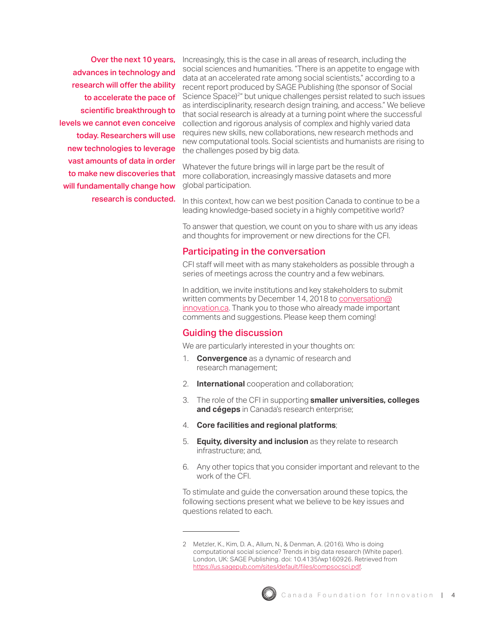<span id="page-6-0"></span>Over the next 10 years, advances in technology and research will offer the ability to accelerate the pace of scientific breakthrough to levels we cannot even conceive today. Researchers will use new technologies to leverage vast amounts of data in order to make new discoveries that will fundamentally change how research is conducted.

Increasingly, this is the case in all areas of research, including the social sciences and humanities. "There is an appetite to engage with data at an accelerated rate among social scientists," according to a recent report produced by SAGE Publishing (the sponsor of Social Science Space)<sup>2</sup>" but unique challenges persist related to such issues as interdisciplinarity, research design training, and access." We believe that social research is already at a turning point where the successful collection and rigorous analysis of complex and highly varied data requires new skills, new collaborations, new research methods and new computational tools. Social scientists and humanists are rising to the challenges posed by big data.

Whatever the future brings will in large part be the result of more collaboration, increasingly massive datasets and more global participation.

In this context, how can we best position Canada to continue to be a leading knowledge-based society in a highly competitive world?

To answer that question, we count on you to share with us any ideas and thoughts for improvement or new directions for the CFI.

### Participating in the conversation

CFI staff will meet with as many stakeholders as possible through a series of meetings across the country and a few webinars.

In addition, we invite institutions and key stakeholders to submit written comments by December 14, 2018 to [conversation@](Mailto:Jointheconversation@innovation.ca) [innovation.ca](Mailto:Jointheconversation@innovation.ca). Thank you to those who already made important comments and suggestions. Please keep them coming!

#### Guiding the discussion

We are particularly interested in your thoughts on:

- 1. **Convergence** as a dynamic of research and research management;
- 2. **International** cooperation and collaboration;
- 3. The role of the CFI in supporting **smaller universities, colleges and cégeps** in Canada's research enterprise;
- 4. **Core facilities and regional platforms**;
- 5. **Equity, diversity and inclusion** as they relate to research infrastructure; and,
- 6. Any other topics that you consider important and relevant to the work of the CFI.

To stimulate and guide the conversation around these topics, the following sections present what we believe to be key issues and questions related to each.

<sup>2</sup> Metzler, K., Kim, D. A., Allum, N., & Denman, A. (2016). Who is doing computational social science? Trends in big data research (White paper). London, UK: SAGE Publishing. doi: 10.4135/wp160926. Retrieved from <https://us.sagepub.com/sites/default/files/compsocsci.pdf>.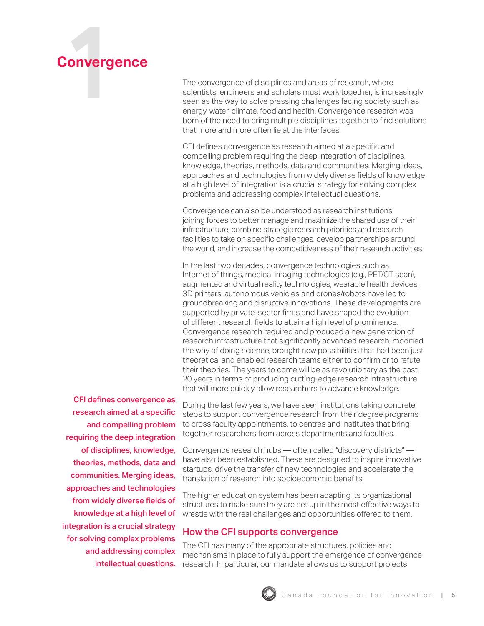<span id="page-7-0"></span>

The convergence of disciplines and areas of research, where scientists, engineers and scholars must work together, is increasingly seen as the way to solve pressing challenges facing society such as energy, water, climate, food and health. Convergence research was born of the need to bring multiple disciplines together to find solutions that more and more often lie at the interfaces.

CFI defines convergence as research aimed at a specific and compelling problem requiring the deep integration of disciplines, knowledge, theories, methods, data and communities. Merging ideas, approaches and technologies from widely diverse fields of knowledge at a high level of integration is a crucial strategy for solving complex problems and addressing complex intellectual questions.

Convergence can also be understood as research institutions joining forces to better manage and maximize the shared use of their infrastructure, combine strategic research priorities and research facilities to take on specific challenges, develop partnerships around the world, and increase the competitiveness of their research activities.

In the last two decades, convergence technologies such as Internet of things, medical imaging technologies (e.g., PET/CT scan), augmented and virtual reality technologies, wearable health devices, 3D printers, autonomous vehicles and drones/robots have led to groundbreaking and disruptive innovations. These developments are supported by private-sector firms and have shaped the evolution of different research fields to attain a high level of prominence. Convergence research required and produced a new generation of research infrastructure that significantly advanced research, modified the way of doing science, brought new possibilities that had been just theoretical and enabled research teams either to confirm or to refute their theories. The years to come will be as revolutionary as the past 20 years in terms of producing cutting-edge research infrastructure that will more quickly allow researchers to advance knowledge.

CFI defines convergence as research aimed at a specific and compelling problem requiring the deep integration of disciplines, knowledge, theories, methods, data and communities. Merging ideas, approaches and technologies from widely diverse fields of knowledge at a high level of integration is a crucial strategy for solving complex problems and addressing complex intellectual questions.

During the last few years, we have seen institutions taking concrete steps to support convergence research from their degree programs to cross faculty appointments, to centres and institutes that bring together researchers from across departments and faculties.

Convergence research hubs — often called "discovery districts" have also been established. These are designed to inspire innovative startups, drive the transfer of new technologies and accelerate the translation of research into socioeconomic benefits.

The higher education system has been adapting its organizational structures to make sure they are set up in the most effective ways to wrestle with the real challenges and opportunities offered to them.

## How the CFI supports convergence

The CFI has many of the appropriate structures, policies and mechanisms in place to fully support the emergence of convergence research. In particular, our mandate allows us to support projects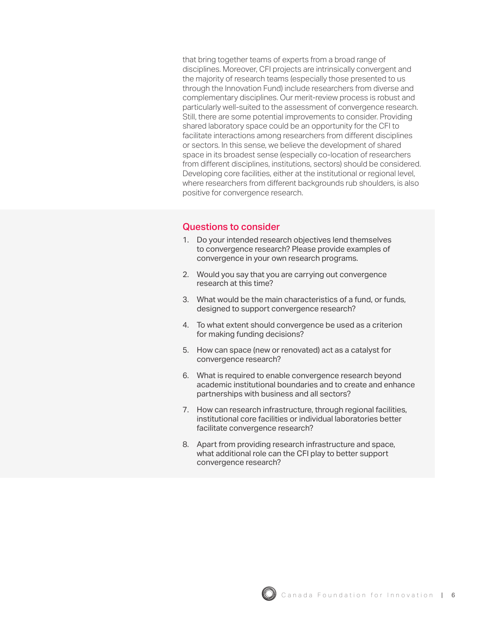<span id="page-8-0"></span>that bring together teams of experts from a broad range of disciplines. Moreover, CFI projects are intrinsically convergent and the majority of research teams (especially those presented to us through the Innovation Fund) include researchers from diverse and complementary disciplines. Our merit-review process is robust and particularly well-suited to the assessment of convergence research. Still, there are some potential improvements to consider. Providing shared laboratory space could be an opportunity for the CFI to facilitate interactions among researchers from different disciplines or sectors. In this sense, we believe the development of shared space in its broadest sense (especially co-location of researchers from different disciplines, institutions, sectors) should be considered. Developing core facilities, either at the institutional or regional level, where researchers from different backgrounds rub shoulders, is also positive for convergence research.

- 1. Do your intended research objectives lend themselves to convergence research? Please provide examples of convergence in your own research programs.
- 2. Would you say that you are carrying out convergence research at this time?
- 3. What would be the main characteristics of a fund, or funds, designed to support convergence research?
- 4. To what extent should convergence be used as a criterion for making funding decisions?
- 5. How can space (new or renovated) act as a catalyst for convergence research?
- 6. What is required to enable convergence research beyond academic institutional boundaries and to create and enhance partnerships with business and all sectors?
- 7. How can research infrastructure, through regional facilities, institutional core facilities or individual laboratories better facilitate convergence research?
- 8. Apart from providing research infrastructure and space, what additional role can the CFI play to better support convergence research?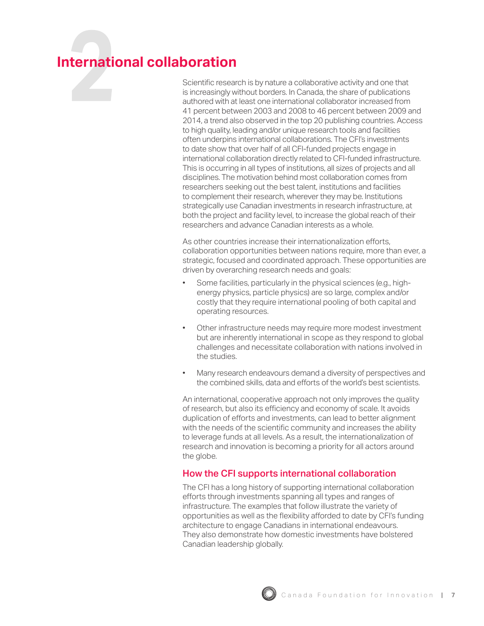# <span id="page-9-0"></span>**International collaboration**

Scientific research is by nature a collaborative activity and one that is increasingly without borders. In Canada, the share of publications authored with at least one international collaborator increased from 41 percent between 2003 and 2008 to 46 percent between 2009 and 2014, a trend also observed in the top 20 publishing countries. Access to high quality, leading and/or unique research tools and facilities often underpins international collaborations. The CFI's investments to date show that over half of all CFI-funded projects engage in international collaboration directly related to CFI-funded infrastructure. This is occurring in all types of institutions, all sizes of projects and all disciplines. The motivation behind most collaboration comes from researchers seeking out the best talent, institutions and facilities to complement their research, wherever they may be. Institutions strategically use Canadian investments in research infrastructure, at both the project and facility level, to increase the global reach of their researchers and advance Canadian interests as a whole.

As other countries increase their internationalization efforts, collaboration opportunities between nations require, more than ever, a strategic, focused and coordinated approach. These opportunities are driven by overarching research needs and goals:

- Some facilities, particularly in the physical sciences (e.g., highenergy physics, particle physics) are so large, complex and/or costly that they require international pooling of both capital and operating resources.
- Other infrastructure needs may require more modest investment but are inherently international in scope as they respond to global challenges and necessitate collaboration with nations involved in the studies.
- Many research endeavours demand a diversity of perspectives and the combined skills, data and efforts of the world's best scientists.

An international, cooperative approach not only improves the quality of research, but also its efficiency and economy of scale. It avoids duplication of efforts and investments, can lead to better alignment with the needs of the scientific community and increases the ability to leverage funds at all levels. As a result, the internationalization of research and innovation is becoming a priority for all actors around the globe.

## How the CFI supports international collaboration

The CFI has a long history of supporting international collaboration efforts through investments spanning all types and ranges of infrastructure. The examples that follow illustrate the variety of opportunities as well as the flexibility afforded to date by CFI's funding architecture to engage Canadians in international endeavours. They also demonstrate how domestic investments have bolstered Canadian leadership globally.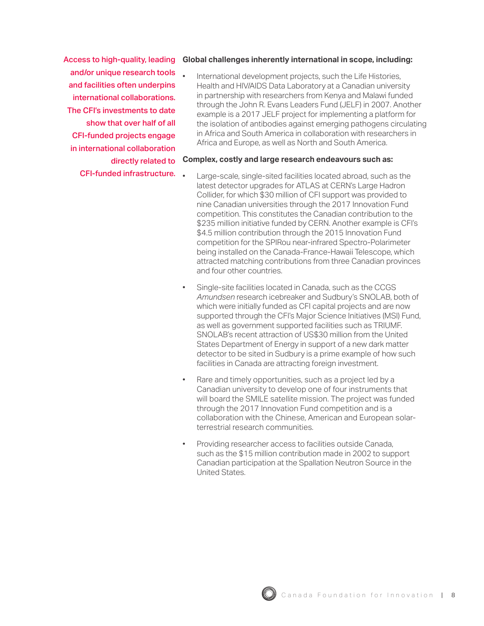Access to high-quality, leading and/or unique research tools and facilities often underpins international collaborations. The CFI's investments to date show that over half of all CFI-funded projects engage in international collaboration directly related to

CFI-funded infrastructure.

#### **Global challenges inherently international in scope, including:**

International development projects, such the Life Histories, Health and HIV/AIDS Data Laboratory at a Canadian university in partnership with researchers from Kenya and Malawi funded through the John R. Evans Leaders Fund (JELF) in 2007. Another example is a 2017 JELF project for implementing a platform for the isolation of antibodies against emerging pathogens circulating in Africa and South America in collaboration with researchers in Africa and Europe, as well as North and South America.

#### **Complex, costly and large research endeavours such as:**

- Large-scale, single-sited facilities located abroad, such as the latest detector upgrades for ATLAS at CERN's Large Hadron Collider, for which \$30 million of CFI support was provided to nine Canadian universities through the 2017 Innovation Fund competition. This constitutes the Canadian contribution to the \$235 million initiative funded by CERN. Another example is CFI's \$4.5 million contribution through the 2015 Innovation Fund competition for the SPIRou near-infrared Spectro-Polarimeter being installed on the Canada-France-Hawaii Telescope, which attracted matching contributions from three Canadian provinces and four other countries.
- Single-site facilities located in Canada, such as the CCGS *Amundsen* research icebreaker and Sudbury's SNOLAB, both of which were initially funded as CFI capital projects and are now supported through the CFI's Major Science Initiatives (MSI) Fund, as well as government supported facilities such as TRIUMF. SNOLAB's recent attraction of US\$30 million from the United States Department of Energy in support of a new dark matter detector to be sited in Sudbury is a prime example of how such facilities in Canada are attracting foreign investment.
- Rare and timely opportunities, such as a project led by a Canadian university to develop one of four instruments that will board the SMILE satellite mission. The project was funded through the 2017 Innovation Fund competition and is a collaboration with the Chinese, American and European solarterrestrial research communities.
- Providing researcher access to facilities outside Canada, such as the \$15 million contribution made in 2002 to support Canadian participation at the Spallation Neutron Source in the United States.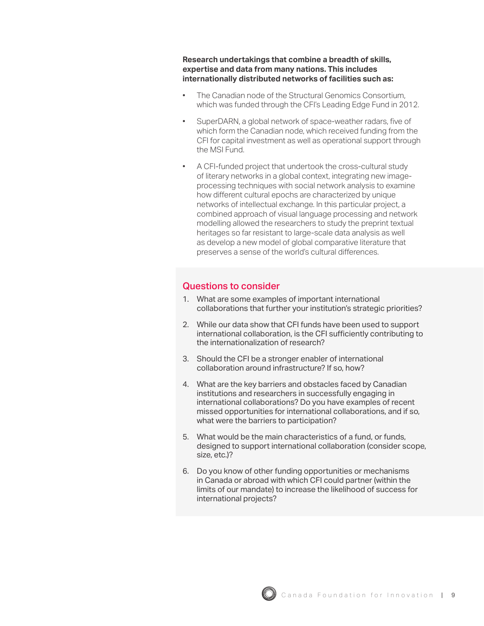<span id="page-11-0"></span>**Research undertakings that combine a breadth of skills, expertise and data from many nations. This includes internationally distributed networks of facilities such as:** 

- The Canadian node of the Structural Genomics Consortium, which was funded through the CFI's Leading Edge Fund in 2012.
- SuperDARN, a global network of space-weather radars, five of which form the Canadian node, which received funding from the CFI for capital investment as well as operational support through the MSI Fund.
- A CFI-funded project that undertook the cross-cultural study of literary networks in a global context, integrating new imageprocessing techniques with social network analysis to examine how different cultural epochs are characterized by unique networks of intellectual exchange. In this particular project, a combined approach of visual language processing and network modelling allowed the researchers to study the preprint textual heritages so far resistant to large-scale data analysis as well as develop a new model of global comparative literature that preserves a sense of the world's cultural differences.

- 1. What are some examples of important international collaborations that further your institution's strategic priorities?
- 2. While our data show that CFI funds have been used to support international collaboration, is the CFI sufficiently contributing to the internationalization of research?
- 3. Should the CFI be a stronger enabler of international collaboration around infrastructure? If so, how?
- 4. What are the key barriers and obstacles faced by Canadian institutions and researchers in successfully engaging in international collaborations? Do you have examples of recent missed opportunities for international collaborations, and if so, what were the barriers to participation?
- 5. What would be the main characteristics of a fund, or funds, designed to support international collaboration (consider scope, size, etc.)?
- 6. Do you know of other funding opportunities or mechanisms in Canada or abroad with which CFI could partner (within the limits of our mandate) to increase the likelihood of success for international projects?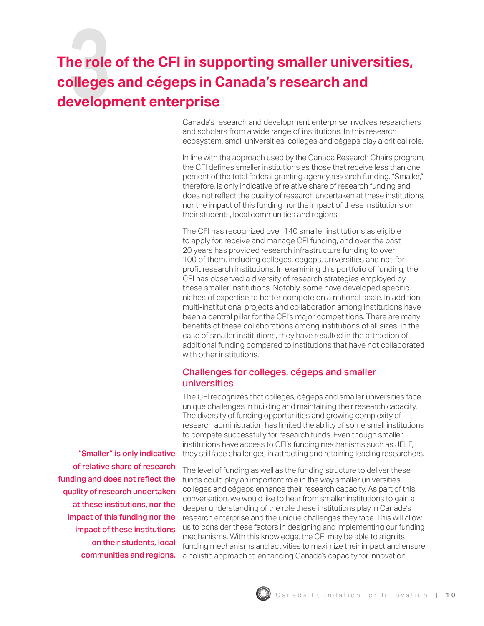# <span id="page-12-0"></span>**The role of the CFI in supporting smaller universities, colleges and cégeps in Canada's research and development enterprise**

Canada's research and development enterprise involves researchers and scholars from a wide range of institutions. In this research ecosystem, small universities, colleges and cégeps play a critical role.

In line with the approach used by the Canada Research Chairs program, the CFI defines smaller institutions as those that receive less than one percent of the total federal granting agency research funding. "Smaller," therefore, is only indicative of relative share of research funding and does not reflect the quality of research undertaken at these institutions, nor the impact of this funding nor the impact of these institutions on their students, local communities and regions.

The CFI has recognized over 140 smaller institutions as eligible to apply for, receive and manage CFI funding, and over the past 20 years has provided research infrastructure funding to over 100 of them, including colleges, cégeps, universities and not-forprofit research institutions. In examining this portfolio of funding, the CFI has observed a diversity of research strategies employed by these smaller institutions. Notably, some have developed specific niches of expertise to better compete on a national scale. In addition, multi-institutional projects and collaboration among institutions have been a central pillar for the CFI's major competitions. There are many benefits of these collaborations among institutions of all sizes. In the case of smaller institutions, they have resulted in the attraction of additional funding compared to institutions that have not collaborated with other institutions.

## Challenges for colleges, cégeps and smaller universities

The CFI recognizes that colleges, cégeps and smaller universities face unique challenges in building and maintaining their research capacity. The diversity of funding opportunities and growing complexity of research administration has limited the ability of some small institutions to compete successfully for research funds. Even though smaller institutions have access to CFI's funding mechanisms such as JELF, they still face challenges in attracting and retaining leading researchers.

"Smaller" is only indicative of relative share of research funding and does not reflect the quality of research undertaken at these institutions, nor the impact of this funding nor the impact of these institutions on their students, local communities and regions.

The level of funding as well as the funding structure to deliver these funds could play an important role in the way smaller universities, colleges and cégeps enhance their research capacity. As part of this conversation, we would like to hear from smaller institutions to gain a deeper understanding of the role these institutions play in Canada's research enterprise and the unique challenges they face. This will allow us to consider these factors in designing and implementing our funding mechanisms. With this knowledge, the CFI may be able to align its funding mechanisms and activities to maximize their impact and ensure a holistic approach to enhancing Canada's capacity for innovation.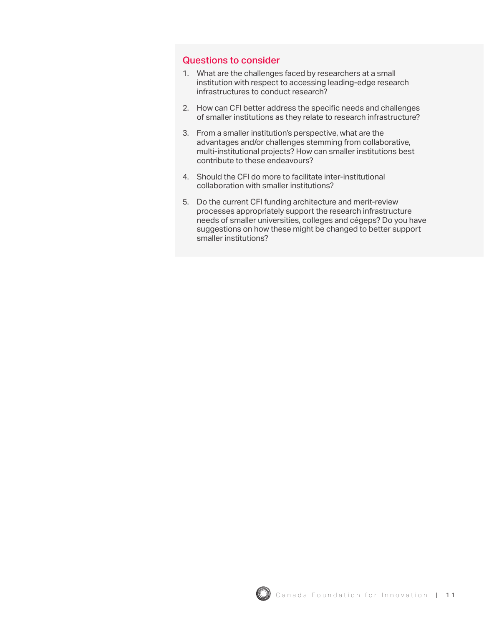- <span id="page-13-0"></span>1. What are the challenges faced by researchers at a small institution with respect to accessing leading-edge research infrastructures to conduct research?
- 2. How can CFI better address the specific needs and challenges of smaller institutions as they relate to research infrastructure?
- 3. From a smaller institution's perspective, what are the advantages and/or challenges stemming from collaborative, multi-institutional projects? How can smaller institutions best contribute to these endeavours?
- 4. Should the CFI do more to facilitate inter-institutional collaboration with smaller institutions?
- 5. Do the current CFI funding architecture and merit-review processes appropriately support the research infrastructure needs of smaller universities, colleges and cégeps? Do you have suggestions on how these might be changed to better support smaller institutions?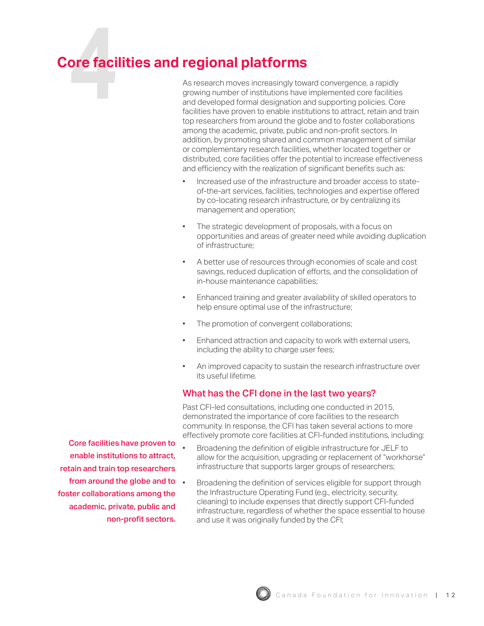## <span id="page-14-0"></span>**Core facilities and regional platforms**

As research moves increasingly toward convergence, a rapidly growing number of institutions have implemented core facilities and developed formal designation and supporting policies. Core facilities have proven to enable institutions to attract, retain and train top researchers from around the globe and to foster collaborations among the academic, private, public and non-profit sectors. In addition, by promoting shared and common management of similar or complementary research facilities, whether located together or distributed, core facilities offer the potential to increase effectiveness and efficiency with the realization of significant benefits such as:

- Increased use of the infrastructure and broader access to stateof-the-art services, facilities, technologies and expertise offered by co-locating research infrastructure, or by centralizing its management and operation;
- The strategic development of proposals, with a focus on opportunities and areas of greater need while avoiding duplication of infrastructure;
- A better use of resources through economies of scale and cost savings, reduced duplication of efforts, and the consolidation of in-house maintenance capabilities;
- Enhanced training and greater availability of skilled operators to help ensure optimal use of the infrastructure;
- The promotion of convergent collaborations;
- Enhanced attraction and capacity to work with external users, including the ability to charge user fees;
- An improved capacity to sustain the research infrastructure over its useful lifetime.

## What has the CFI done in the last two years?

Past CFI-led consultations, including one conducted in 2015, demonstrated the importance of core facilities to the research community. In response, the CFI has taken several actions to more effectively promote core facilities at CFI-funded institutions, including:

- Broadening the definition of eligible infrastructure for JELF to allow for the acquisition, upgrading or replacement of "workhorse" infrastructure that supports larger groups of researchers;
	- Broadening the definition of services eligible for support through the Infrastructure Operating Fund (e.g., electricity, security, cleaning) to include expenses that directly support CFI-funded infrastructure, regardless of whether the space essential to house and use it was originally funded by the CFI;

Core facilities have proven to enable institutions to attract, retain and train top researchers from around the globe and to . foster collaborations among the academic, private, public and non-profit sectors.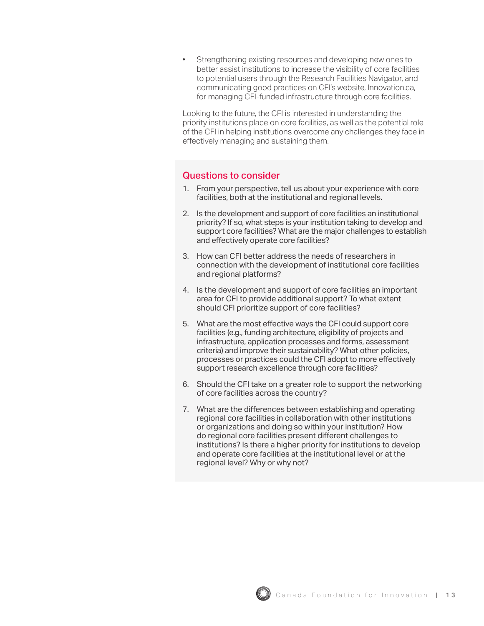<span id="page-15-0"></span>Strengthening existing resources and developing new ones to better assist institutions to increase the visibility of core facilities to potential users through the Research Facilities Navigator, and communicating good practices on CFI's website, Innovation.ca, for managing CFI-funded infrastructure through core facilities.

Looking to the future, the CFI is interested in understanding the priority institutions place on core facilities, as well as the potential role of the CFI in helping institutions overcome any challenges they face in effectively managing and sustaining them.

- 1. From your perspective, tell us about your experience with core facilities, both at the institutional and regional levels.
- 2. Is the development and support of core facilities an institutional priority? If so, what steps is your institution taking to develop and support core facilities? What are the major challenges to establish and effectively operate core facilities?
- 3. How can CFI better address the needs of researchers in connection with the development of institutional core facilities and regional platforms?
- 4. Is the development and support of core facilities an important area for CFI to provide additional support? To what extent should CFI prioritize support of core facilities?
- 5. What are the most effective ways the CFI could support core facilities (e.g., funding architecture, eligibility of projects and infrastructure, application processes and forms, assessment criteria) and improve their sustainability? What other policies, processes or practices could the CFI adopt to more effectively support research excellence through core facilities?
- 6. Should the CFI take on a greater role to support the networking of core facilities across the country?
- 7. What are the differences between establishing and operating regional core facilities in collaboration with other institutions or organizations and doing so within your institution? How do regional core facilities present different challenges to institutions? Is there a higher priority for institutions to develop and operate core facilities at the institutional level or at the regional level? Why or why not?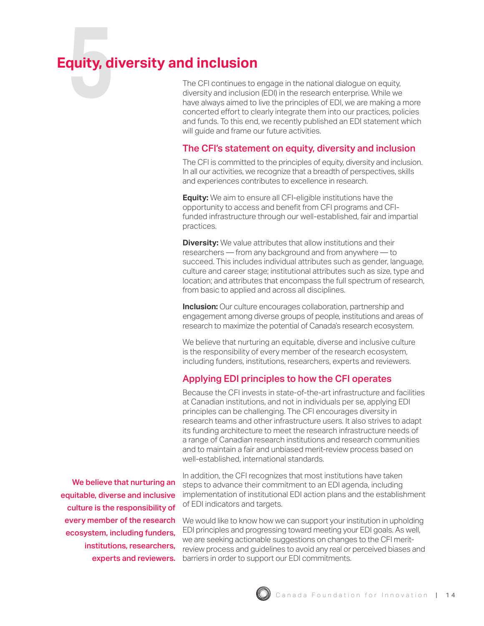## <span id="page-16-0"></span>**Equity, diversity and inclusion**

The CFI continues to engage in the national dialogue on equity, diversity and inclusion (EDI) in the research enterprise. While we have always aimed to live the principles of EDI, we are making a more concerted effort to clearly integrate them into our practices, policies and funds. To this end, we recently published an EDI statement which will guide and frame our future activities.

### The CFI's statement on equity, diversity and inclusion

The CFI is committed to the principles of equity, diversity and inclusion. In all our activities, we recognize that a breadth of perspectives, skills and experiences contributes to excellence in research.

**Equity:** We aim to ensure all CFI-eligible institutions have the opportunity to access and benefit from CFI programs and CFIfunded infrastructure through our well-established, fair and impartial practices.

**Diversity:** We value attributes that allow institutions and their researchers — from any background and from anywhere — to succeed. This includes individual attributes such as gender, language, culture and career stage; institutional attributes such as size, type and location; and attributes that encompass the full spectrum of research, from basic to applied and across all disciplines.

**Inclusion:** Our culture encourages collaboration, partnership and engagement among diverse groups of people, institutions and areas of research to maximize the potential of Canada's research ecosystem.

We believe that nurturing an equitable, diverse and inclusive culture is the responsibility of every member of the research ecosystem, including funders, institutions, researchers, experts and reviewers.

### Applying EDI principles to how the CFI operates

Because the CFI invests in state-of-the-art infrastructure and facilities at Canadian institutions, and not in individuals per se, applying EDI principles can be challenging. The CFI encourages diversity in research teams and other infrastructure users. It also strives to adapt its funding architecture to meet the research infrastructure needs of a range of Canadian research institutions and research communities and to maintain a fair and unbiased merit-review process based on well-established, international standards.

We believe that nurturing an equitable, diverse and inclusive culture is the responsibility of every member of the research ecosystem, including funders, institutions, researchers, experts and reviewers.

In addition, the CFI recognizes that most institutions have taken steps to advance their commitment to an EDI agenda, including implementation of institutional EDI action plans and the establishment of EDI indicators and targets.

We would like to know how we can support your institution in upholding EDI principles and progressing toward meeting your EDI goals. As well, we are seeking actionable suggestions on changes to the CFI meritreview process and guidelines to avoid any real or perceived biases and barriers in order to support our EDI commitments.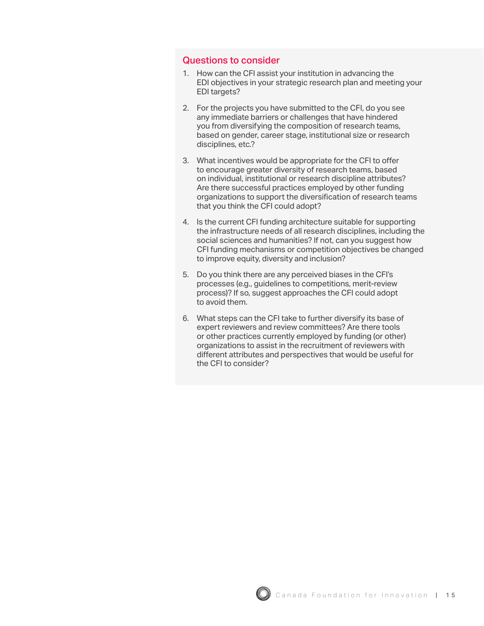- <span id="page-17-0"></span>1. How can the CFI assist your institution in advancing the EDI objectives in your strategic research plan and meeting your EDI targets?
- 2. For the projects you have submitted to the CFI, do you see any immediate barriers or challenges that have hindered you from diversifying the composition of research teams, based on gender, career stage, institutional size or research disciplines, etc.?
- 3. What incentives would be appropriate for the CFI to offer to encourage greater diversity of research teams, based on individual, institutional or research discipline attributes? Are there successful practices employed by other funding organizations to support the diversification of research teams that you think the CFI could adopt?
- 4. Is the current CFI funding architecture suitable for supporting the infrastructure needs of all research disciplines, including the social sciences and humanities? If not, can you suggest how CFI funding mechanisms or competition objectives be changed to improve equity, diversity and inclusion?
- 5. Do you think there are any perceived biases in the CFI's processes (e.g., guidelines to competitions, merit-review process)? If so, suggest approaches the CFI could adopt to avoid them.
- 6. What steps can the CFI take to further diversify its base of expert reviewers and review committees? Are there tools or other practices currently employed by funding (or other) organizations to assist in the recruitment of reviewers with different attributes and perspectives that would be useful for the CFI to consider?